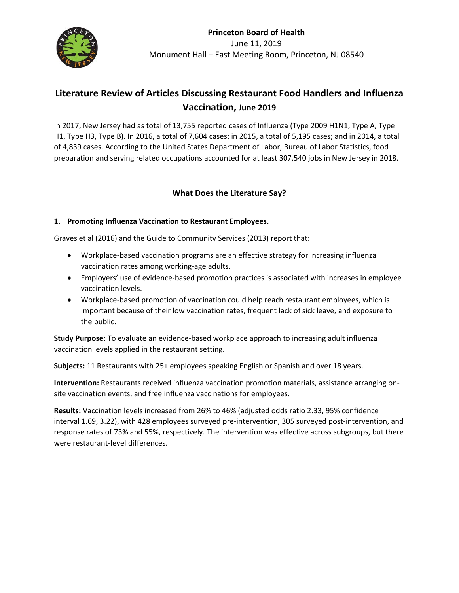

# **Literature Review of Articles Discussing Restaurant Food Handlers and Influenza Vaccination, June 2019**

In 2017, New Jersey had as total of 13,755 reported cases of Influenza (Type 2009 H1N1, Type A, Type H1, Type H3, Type B). In 2016, a total of 7,604 cases; in 2015, a total of 5,195 cases; and in 2014, a total of 4,839 cases. According to the United States Department of Labor, Bureau of Labor Statistics, food preparation and serving related occupations accounted for at least 307,540 jobs in New Jersey in 2018.

## **What Does the Literature Say?**

### **1. Promoting Influenza Vaccination to Restaurant Employees.**

Graves et al (2016) and the Guide to Community Services (2013) report that:

- Workplace-based vaccination programs are an effective strategy for increasing influenza vaccination rates among working-age adults.
- Employers' use of evidence-based promotion practices is associated with increases in employee vaccination levels.
- Workplace-based promotion of vaccination could help reach restaurant employees, which is important because of their low vaccination rates, frequent lack of sick leave, and exposure to the public.

**Study Purpose:** To evaluate an evidence-based workplace approach to increasing adult influenza vaccination levels applied in the restaurant setting.

**Subjects:** 11 Restaurants with 25+ employees speaking English or Spanish and over 18 years.

**Intervention:** Restaurants received influenza vaccination promotion materials, assistance arranging onsite vaccination events, and free influenza vaccinations for employees.

**Results:** Vaccination levels increased from 26% to 46% (adjusted odds ratio 2.33, 95% confidence interval 1.69, 3.22), with 428 employees surveyed pre-intervention, 305 surveyed post-intervention, and response rates of 73% and 55%, respectively. The intervention was effective across subgroups, but there were restaurant-level differences.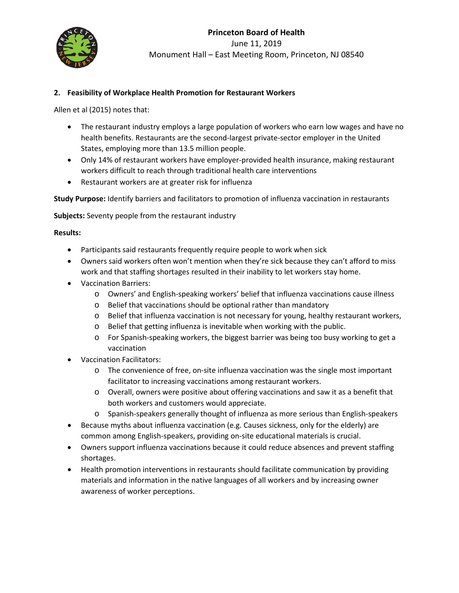

### **2. Feasibility of Workplace Health Promotion for Restaurant Workers**

Allen et al (2015) notes that:

- The restaurant industry employs a large population of workers who earn low wages and have no health benefits. Restaurants are the second-largest private-sector employer in the United States, employing more than 13.5 million people.
- Only 14% of restaurant workers have employer-provided health insurance, making restaurant workers difficult to reach through traditional health care interventions
- Restaurant workers are at greater risk for influenza

**Study Purpose:** Identify barriers and facilitators to promotion of influenza vaccination in restaurants

**Subjects:** Seventy people from the restaurant industry

**Results:** 

- Participants said restaurants frequently require people to work when sick
- Owners said workers often won't mention when they're sick because they can't afford to miss work and that staffing shortages resulted in their inability to let workers stay home.
- Vaccination Barriers:
	- o Owners' and English-speaking workers' belief that influenza vaccinations cause illness
	- o Belief that vaccinations should be optional rather than mandatory
	- o Belief that influenza vaccination is not necessary for young, healthy restaurant workers,
	- o Belief that getting influenza is inevitable when working with the public.
	- o For Spanish-speaking workers, the biggest barrier was being too busy working to get a vaccination
- Vaccination Facilitators:
	- o The convenience of free, on-site influenza vaccination was the single most important facilitator to increasing vaccinations among restaurant workers.
	- o Overall, owners were positive about offering vaccinations and saw it as a benefit that both workers and customers would appreciate.
	- o Spanish-speakers generally thought of influenza as more serious than English-speakers
- Because myths about influenza vaccination (e.g. Causes sickness, only for the elderly) are common among English-speakers, providing on-site educational materials is crucial.
- Owners support influenza vaccinations because it could reduce absences and prevent staffing shortages.
- Health promotion interventions in restaurants should facilitate communication by providing materials and information in the native languages of all workers and by increasing owner awareness of worker perceptions.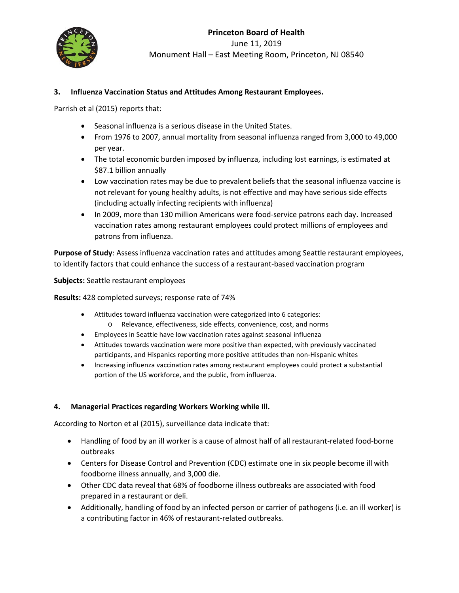

#### **3. Influenza Vaccination Status and Attitudes Among Restaurant Employees.**

Parrish et al (2015) reports that:

- Seasonal influenza is a serious disease in the United States.
- From 1976 to 2007, annual mortality from seasonal influenza ranged from 3,000 to 49,000 per year.
- The total economic burden imposed by influenza, including lost earnings, is estimated at \$87.1 billion annually
- Low vaccination rates may be due to prevalent beliefs that the seasonal influenza vaccine is not relevant for young healthy adults, is not effective and may have serious side effects (including actually infecting recipients with influenza)
- In 2009, more than 130 million Americans were food-service patrons each day. Increased vaccination rates among restaurant employees could protect millions of employees and patrons from influenza.

**Purpose of Study**: Assess influenza vaccination rates and attitudes among Seattle restaurant employees, to identify factors that could enhance the success of a restaurant-based vaccination program

**Subjects:** Seattle restaurant employees

**Results:** 428 completed surveys; response rate of 74%

- Attitudes toward influenza vaccination were categorized into 6 categories:
	- o Relevance, effectiveness, side effects, convenience, cost, and norms
- Employees in Seattle have low vaccination rates against seasonal influenza
- Attitudes towards vaccination were more positive than expected, with previously vaccinated participants, and Hispanics reporting more positive attitudes than non-Hispanic whites
- Increasing influenza vaccination rates among restaurant employees could protect a substantial portion of the US workforce, and the public, from influenza.

#### **4. Managerial Practices regarding Workers Working while Ill.**

According to Norton et al (2015), surveillance data indicate that:

- Handling of food by an ill worker is a cause of almost half of all restaurant-related food-borne outbreaks
- Centers for Disease Control and Prevention (CDC) estimate one in six people become ill with foodborne illness annually, and 3,000 die.
- Other CDC data reveal that 68% of foodborne illness outbreaks are associated with food prepared in a restaurant or deli.
- Additionally, handling of food by an infected person or carrier of pathogens (i.e. an ill worker) is a contributing factor in 46% of restaurant-related outbreaks.